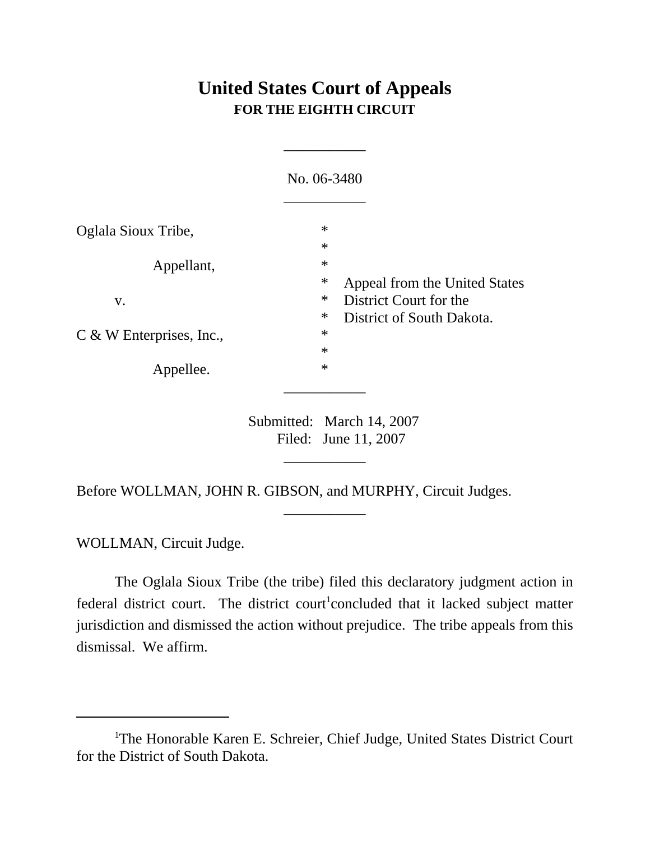## **United States Court of Appeals FOR THE EIGHTH CIRCUIT**

\_\_\_\_\_\_\_\_\_\_\_

|                            | No. 06-3480                                                             |  |
|----------------------------|-------------------------------------------------------------------------|--|
| Oglala Sioux Tribe,        | $\ast$<br>$\ast$                                                        |  |
| Appellant,                 | $\ast$<br>$\ast$<br>Appeal from the United States                       |  |
| V.                         | $\ast$<br>District Court for the<br>$\ast$<br>District of South Dakota. |  |
| $C$ & W Enterprises, Inc., | $\ast$<br>$\ast$                                                        |  |
| Appellee.                  | $\ast$                                                                  |  |
|                            | $\frac{1}{2}$ 1 1 $\frac{1}{2}$ 1 1 1 4 0 0 0 $\frac{1}{2}$<br>$\sim$ 1 |  |

Submitted: March 14, 2007 Filed: June 11, 2007

\_\_\_\_\_\_\_\_\_\_\_

\_\_\_\_\_\_\_\_\_\_\_

Before WOLLMAN, JOHN R. GIBSON, and MURPHY, Circuit Judges.

WOLLMAN, Circuit Judge.

The Oglala Sioux Tribe (the tribe) filed this declaratory judgment action in federal district court. The district court<sup>1</sup>concluded that it lacked subject matter jurisdiction and dismissed the action without prejudice. The tribe appeals from this dismissal. We affirm.

<sup>&</sup>lt;sup>1</sup>The Honorable Karen E. Schreier, Chief Judge, United States District Court for the District of South Dakota.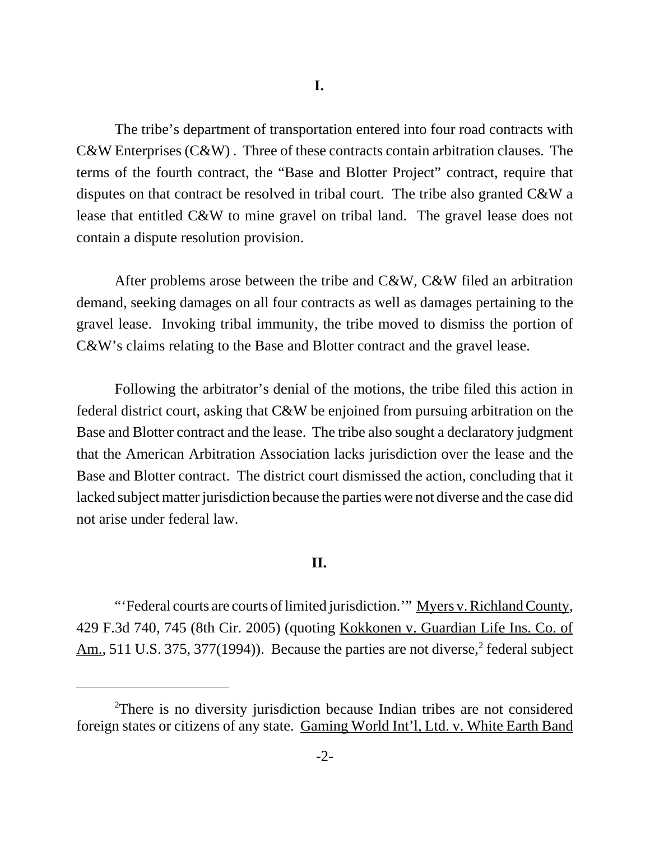The tribe's department of transportation entered into four road contracts with C&W Enterprises (C&W) . Three of these contracts contain arbitration clauses. The terms of the fourth contract, the "Base and Blotter Project" contract, require that disputes on that contract be resolved in tribal court. The tribe also granted C&W a lease that entitled C&W to mine gravel on tribal land. The gravel lease does not contain a dispute resolution provision.

After problems arose between the tribe and C&W, C&W filed an arbitration demand, seeking damages on all four contracts as well as damages pertaining to the gravel lease. Invoking tribal immunity, the tribe moved to dismiss the portion of C&W's claims relating to the Base and Blotter contract and the gravel lease.

Following the arbitrator's denial of the motions, the tribe filed this action in federal district court, asking that C&W be enjoined from pursuing arbitration on the Base and Blotter contract and the lease. The tribe also sought a declaratory judgment that the American Arbitration Association lacks jurisdiction over the lease and the Base and Blotter contract. The district court dismissed the action, concluding that it lacked subject matter jurisdiction because the parties were not diverse and the case did not arise under federal law.

## **II.**

"'Federal courts are courts of limited jurisdiction." Myers v. Richland County, 429 F.3d 740, 745 (8th Cir. 2005) (quoting Kokkonen v. Guardian Life Ins. Co. of Am., 511 U.S. 375, 377(1994)). Because the parties are not diverse,<sup>2</sup> federal subject

<sup>&</sup>lt;sup>2</sup>There is no diversity jurisdiction because Indian tribes are not considered foreign states or citizens of any state. Gaming World Int'l, Ltd. v. White Earth Band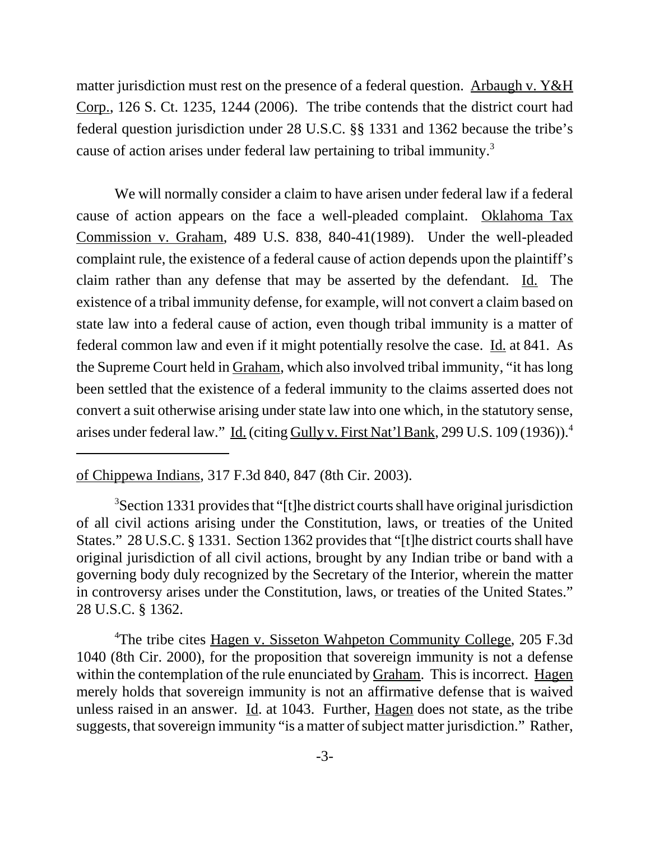matter jurisdiction must rest on the presence of a federal question. Arbaugh v.  $Y \& H$ Corp., 126 S. Ct. 1235, 1244 (2006). The tribe contends that the district court had federal question jurisdiction under 28 U.S.C. §§ 1331 and 1362 because the tribe's cause of action arises under federal law pertaining to tribal immunity.<sup>3</sup>

We will normally consider a claim to have arisen under federal law if a federal cause of action appears on the face a well-pleaded complaint. Oklahoma Tax Commission v. Graham, 489 U.S. 838, 840-41(1989). Under the well-pleaded complaint rule, the existence of a federal cause of action depends upon the plaintiff's claim rather than any defense that may be asserted by the defendant. Id. The existence of a tribal immunity defense, for example, will not convert a claim based on state law into a federal cause of action, even though tribal immunity is a matter of federal common law and even if it might potentially resolve the case. Id. at 841. As the Supreme Court held in Graham, which also involved tribal immunity, "it has long been settled that the existence of a federal immunity to the claims asserted does not convert a suit otherwise arising under state law into one which, in the statutory sense, arises under federal law." Id. (citing Gully v. First Nat'l Bank, 299 U.S. 109 (1936)).<sup>4</sup>

of Chippewa Indians, 317 F.3d 840, 847 (8th Cir. 2003).

<sup>3</sup>Section 1331 provides that "[t]he district courts shall have original jurisdiction of all civil actions arising under the Constitution, laws, or treaties of the United States." 28 U.S.C. § 1331. Section 1362 provides that "[t]he district courts shall have original jurisdiction of all civil actions, brought by any Indian tribe or band with a governing body duly recognized by the Secretary of the Interior, wherein the matter in controversy arises under the Constitution, laws, or treaties of the United States." 28 U.S.C. § 1362.

<sup>4</sup>The tribe cites Hagen v. Sisseton Wahpeton Community College, 205 F.3d 1040 (8th Cir. 2000), for the proposition that sovereign immunity is not a defense within the contemplation of the rule enunciated by Graham. This is incorrect. Hagen merely holds that sovereign immunity is not an affirmative defense that is waived unless raised in an answer. Id. at 1043. Further, Hagen does not state, as the tribe suggests, that sovereign immunity "is a matter of subject matter jurisdiction." Rather,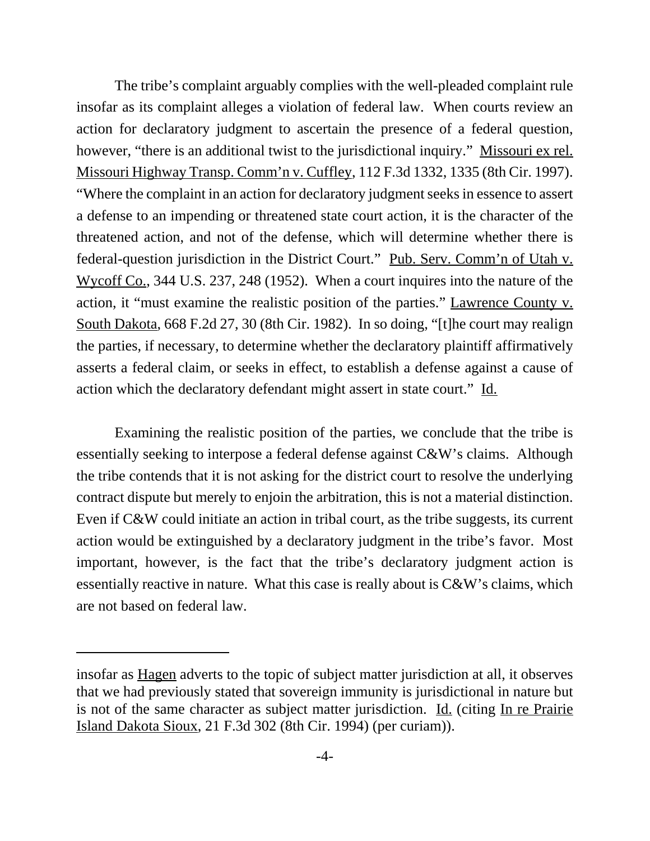The tribe's complaint arguably complies with the well-pleaded complaint rule insofar as its complaint alleges a violation of federal law. When courts review an action for declaratory judgment to ascertain the presence of a federal question, however, "there is an additional twist to the jurisdictional inquiry." Missouri ex rel. Missouri Highway Transp. Comm'n v. Cuffley, 112 F.3d 1332, 1335 (8th Cir. 1997). "Where the complaint in an action for declaratory judgment seeks in essence to assert a defense to an impending or threatened state court action, it is the character of the threatened action, and not of the defense, which will determine whether there is federal-question jurisdiction in the District Court." Pub. Serv. Comm'n of Utah v. Wycoff Co., 344 U.S. 237, 248 (1952). When a court inquires into the nature of the action, it "must examine the realistic position of the parties." Lawrence County v. South Dakota, 668 F.2d 27, 30 (8th Cir. 1982). In so doing, "[t]he court may realign the parties, if necessary, to determine whether the declaratory plaintiff affirmatively asserts a federal claim, or seeks in effect, to establish a defense against a cause of action which the declaratory defendant might assert in state court." Id.

Examining the realistic position of the parties, we conclude that the tribe is essentially seeking to interpose a federal defense against C&W's claims. Although the tribe contends that it is not asking for the district court to resolve the underlying contract dispute but merely to enjoin the arbitration, this is not a material distinction. Even if C&W could initiate an action in tribal court, as the tribe suggests, its current action would be extinguished by a declaratory judgment in the tribe's favor. Most important, however, is the fact that the tribe's declaratory judgment action is essentially reactive in nature. What this case is really about is C&W's claims, which are not based on federal law.

insofar as Hagen adverts to the topic of subject matter jurisdiction at all, it observes that we had previously stated that sovereign immunity is jurisdictional in nature but is not of the same character as subject matter jurisdiction. Id. (citing In re Prairie Island Dakota Sioux, 21 F.3d 302 (8th Cir. 1994) (per curiam)).